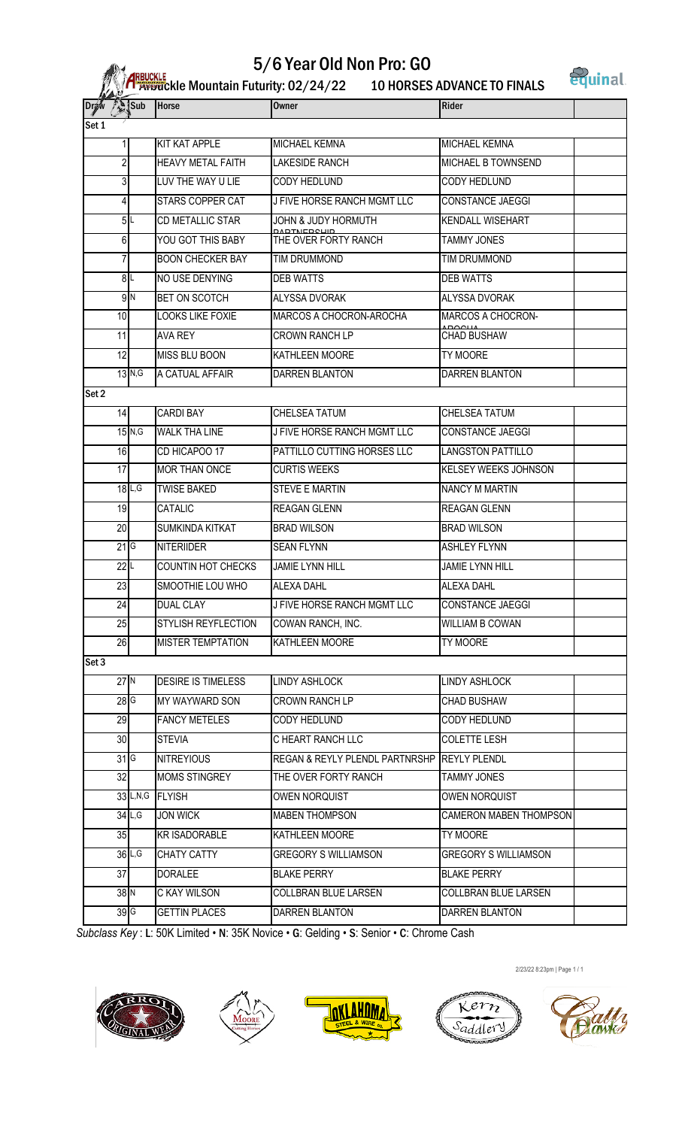## 5/6 Year Old Non Pro: GO



| <b>BUCKLE</b><br>Afbuckle Mountain Futurity: 02/24/22 | <b>10 HORSES ADVANCE TO FINALS</b> |
|-------------------------------------------------------|------------------------------------|

| Sub<br><b>Draw</b> |                      | Horse                     | Owner                                       | Rider                         |  |
|--------------------|----------------------|---------------------------|---------------------------------------------|-------------------------------|--|
| Set 1              |                      |                           |                                             |                               |  |
|                    |                      | KIT KAT APPLE             | <b>MICHAEL KEMNA</b>                        | MICHAEL KEMNA                 |  |
| $\overline{2}$     |                      | <b>HEAVY METAL FAITH</b>  | <b>LAKESIDE RANCH</b>                       | MICHAEL B TOWNSEND            |  |
| 3                  |                      | LUV THE WAY U LIE         | CODY HEDLUND                                | CODY HEDLUND                  |  |
| 4                  |                      | STARS COPPER CAT          | J FIVE HORSE RANCH MGMT LLC                 | CONSTANCE JAEGGI              |  |
|                    | 5L                   | CD METALLIC STAR          | JOHN & JUDY HORMUTH                         | <b>KENDALL WISEHART</b>       |  |
| 6                  |                      | YOU GOT THIS BABY         | THE OVER FORTY RANCH                        | <b>TAMMY JONES</b>            |  |
| 7                  |                      | <b>BOON CHECKER BAY</b>   | TIM DRUMMOND                                | TIM DRUMMOND                  |  |
|                    | 8∣∟                  | NO USE DENYING            | <b>DEB WATTS</b>                            | <b>DEB WATTS</b>              |  |
|                    | 9N                   | BET ON SCOTCH             | ALYSSA DVORAK                               | ALYSSA DVORAK                 |  |
| 10                 |                      | <b>LOOKS LIKE FOXIE</b>   | MARCOS A CHOCRON-AROCHA                     | <b>MARCOS A CHOCRON-</b>      |  |
| 11                 |                      | <b>AVA REY</b>            | <b>CROWN RANCH LP</b>                       | <b>CHAD BUSHAW</b>            |  |
| 12                 |                      | MISS BLU BOON             | KATHLEEN MOORE                              | TY MOORE                      |  |
|                    | $13$ $N, G$          | A CATUAL AFFAIR           | DARREN BLANTON                              | DARREN BLANTON                |  |
| Set 2              |                      |                           |                                             |                               |  |
| 4                  |                      | <b>CARDI BAY</b>          | CHELSEA TATUM                               | CHELSEA TATUM                 |  |
|                    | $15$ N,G             | <b>WALK THA LINE</b>      | J FIVE HORSE RANCH MGMT LLC                 | CONSTANCE JAEGGI              |  |
| 16                 |                      | CD HICAPOO 17             | PATTILLO CUTTING HORSES LLC                 | <b>LANGSTON PATTILLO</b>      |  |
| 17                 |                      | MOR THAN ONCE             | <b>CURTIS WEEKS</b>                         | <b>KELSEY WEEKS JOHNSON</b>   |  |
|                    | 18L, G               | <b>TWISE BAKED</b>        | <b>STEVE E MARTIN</b>                       | <b>NANCY M MARTIN</b>         |  |
| 19                 |                      | CATALIC                   | <b>REAGAN GLENN</b>                         | <b>REAGAN GLENN</b>           |  |
| 20                 |                      | SUMKINDA KITKAT           | <b>BRAD WILSON</b>                          | <b>BRAD WILSON</b>            |  |
| 21G                |                      | <b>NITERIIDER</b>         | <b>SEAN FLYNN</b>                           | <b>ASHLEY FLYNN</b>           |  |
| 22L                |                      | COUNTIN HOT CHECKS        | <b>JAMIE LYNN HILL</b>                      | <b>JAMIE LYNN HILL</b>        |  |
| 23                 |                      | SMOOTHIE LOU WHO          | ALEXA DAHL                                  | <b>ALEXA DAHL</b>             |  |
| 24                 |                      | DUAL CLAY                 | J FIVE HORSE RANCH MGMT LLC                 | <b>CONSTANCE JAEGGI</b>       |  |
| 25                 |                      | STYLISH REYFLECTION       | COWAN RANCH, INC.                           | <b>WILLIAM B COWAN</b>        |  |
| $\overline{26}$    |                      | <b>MISTER TEMPTATION</b>  | KATHLEEN MOORE                              | TY MOORE                      |  |
| Set 3              |                      |                           |                                             |                               |  |
| 27N                |                      | <b>DESIRE IS TIMELESS</b> | <b>LINDY ASHLOCK</b>                        | LINDY ASHLOCK                 |  |
| $28$ G             |                      | MY WAYWARD SON            | CROWN RANCH LP                              | CHAD BUSHAW                   |  |
| $\overline{29}$    |                      | <b>FANCY METELES</b>      | <b>CODY HEDLUND</b>                         | <b>CODY HEDLUND</b>           |  |
| 30 <sub>2</sub>    |                      | <b>STEVIA</b>             | C HEART RANCH LLC                           | <b>COLETTE LESH</b>           |  |
| $31$ G             |                      | <b>NITREYIOUS</b>         | REGAN & REYLY PLENDL PARTNRSHP REYLY PLENDL |                               |  |
| 32                 |                      | MOMS STINGREY             | THE OVER FORTY RANCH                        | <b>TAMMY JONES</b>            |  |
|                    |                      | 33L,N,G FLYISH            | <b>OWEN NORQUIST</b>                        | <b>OWEN NORQUIST</b>          |  |
|                    | $34$ L,G             | <b>JON WICK</b>           | <b>MABEN THOMPSON</b>                       | <b>CAMERON MABEN THOMPSON</b> |  |
| 35                 |                      | <b>KR ISADORABLE</b>      | KATHLEEN MOORE                              | TY MOORE                      |  |
|                    | $36$ L <sub>,G</sub> | <b>CHATY CATTY</b>        | <b>GREGORY S WILLIAMSON</b>                 | <b>GREGORY S WILLIAMSON</b>   |  |
| 37                 |                      | <b>DORALEE</b>            | <b>BLAKE PERRY</b>                          | <b>BLAKE PERRY</b>            |  |
| 38 N               |                      | C KAY WILSON              | COLLBRAN BLUE LARSEN                        | COLLBRAN BLUE LARSEN          |  |
| 39 <sub>6</sub>    |                      | <b>GETTIN PLACES</b>      | DARREN BLANTON                              | DARREN BLANTON                |  |

*Subclass Key* : L: 50K Limited • N: 35K Novice • G: Gelding • S: Senior • C: Chrome Cash











2/23/22 8:23pm | Page 1 / 1